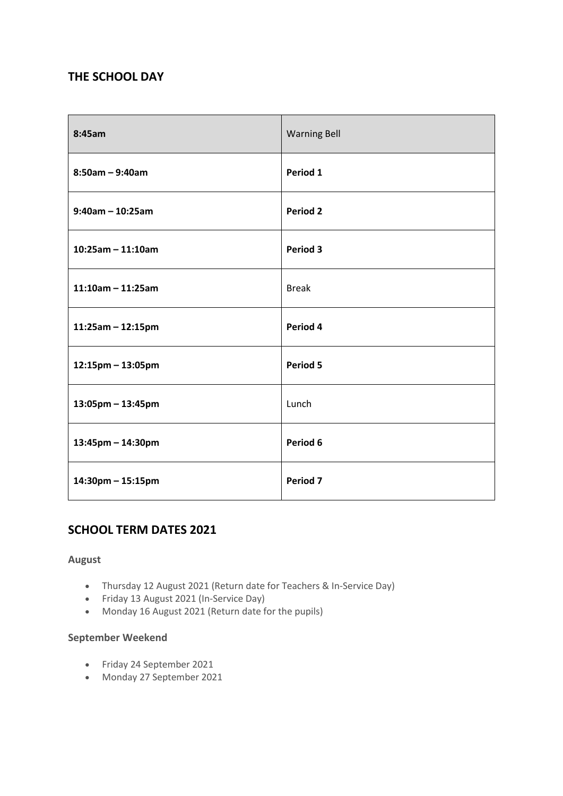# **THE SCHOOL DAY**

| 8:45am               | <b>Warning Bell</b> |
|----------------------|---------------------|
| $8:50am - 9:40am$    | Period 1            |
| $9:40$ am - 10:25am  | <b>Period 2</b>     |
| $10:25am - 11:10am$  | Period 3            |
| $11:10$ am - 11:25am | <b>Break</b>        |
| $11:25am - 12:15pm$  | Period 4            |
| $12:15$ pm – 13:05pm | Period 5            |
| 13:05pm - 13:45pm    | Lunch               |
| 13:45pm - 14:30pm    | Period 6            |
| 14:30pm - 15:15pm    | Period 7            |

# **SCHOOL TERM DATES 2021**

## **August**

- Thursday 12 August 2021 (Return date for Teachers & In-Service Day)
- Friday 13 August 2021 (In-Service Day)
- Monday 16 August 2021 (Return date for the pupils)

## **September Weekend**

- Friday 24 September 2021
- Monday 27 September 2021